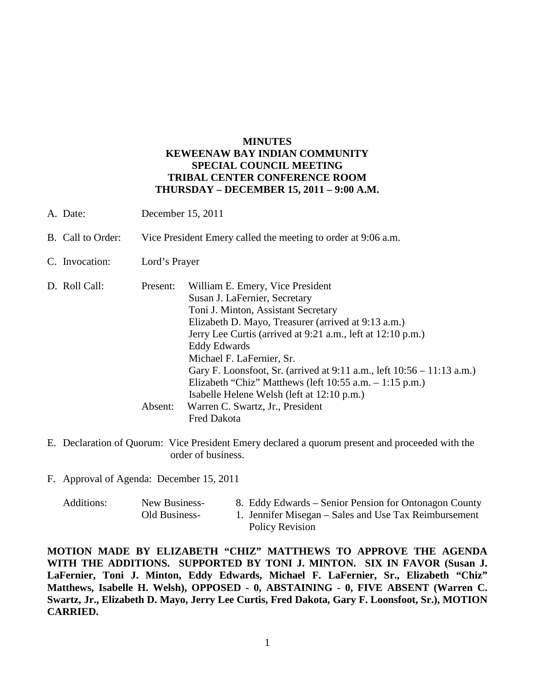# **MINUTES KEWEENAW BAY INDIAN COMMUNITY SPECIAL COUNCIL MEETING TRIBAL CENTER CONFERENCE ROOM THURSDAY – DECEMBER 15, 2011 – 9:00 A.M.**

|  | A. Date:          | December 15, 2011                                             |                                                                        |  |
|--|-------------------|---------------------------------------------------------------|------------------------------------------------------------------------|--|
|  | B. Call to Order: | Vice President Emery called the meeting to order at 9:06 a.m. |                                                                        |  |
|  | C. Invocation:    | Lord's Prayer                                                 |                                                                        |  |
|  | D. Roll Call:     | Present:                                                      | William E. Emery, Vice President                                       |  |
|  |                   |                                                               | Susan J. LaFernier, Secretary                                          |  |
|  |                   |                                                               | Toni J. Minton, Assistant Secretary                                    |  |
|  |                   |                                                               | Elizabeth D. Mayo, Treasurer (arrived at 9:13 a.m.)                    |  |
|  |                   |                                                               | Jerry Lee Curtis (arrived at 9:21 a.m., left at 12:10 p.m.)            |  |
|  |                   |                                                               | Eddy Edwards                                                           |  |
|  |                   |                                                               | Michael F. LaFernier, Sr.                                              |  |
|  |                   |                                                               | Gary F. Loonsfoot, Sr. (arrived at 9:11 a.m., left 10:56 – 11:13 a.m.) |  |
|  |                   |                                                               | Elizabeth "Chiz" Matthews (left $10:55$ a.m. $-1:15$ p.m.)             |  |
|  |                   |                                                               | Isabelle Helene Welsh (left at 12:10 p.m.)                             |  |
|  |                   | Absent:                                                       | Warren C. Swartz, Jr., President                                       |  |
|  |                   |                                                               | <b>Fred Dakota</b>                                                     |  |

E. Declaration of Quorum: Vice President Emery declared a quorum present and proceeded with the order of business.

F. Approval of Agenda: December 15, 2011

| Additions: | New Business- | 8. Eddy Edwards – Senior Pension for Ontonagon County |
|------------|---------------|-------------------------------------------------------|
|            | Old Business- | 1. Jennifer Misegan – Sales and Use Tax Reimbursement |
|            |               | Policy Revision                                       |

**MOTION MADE BY ELIZABETH "CHIZ" MATTHEWS TO APPROVE THE AGENDA WITH THE ADDITIONS. SUPPORTED BY TONI J. MINTON. SIX IN FAVOR (Susan J. LaFernier, Toni J. Minton, Eddy Edwards, Michael F. LaFernier, Sr., Elizabeth "Chiz" Matthews, Isabelle H. Welsh), OPPOSED - 0, ABSTAINING - 0, FIVE ABSENT (Warren C. Swartz, Jr., Elizabeth D. Mayo, Jerry Lee Curtis, Fred Dakota, Gary F. Loonsfoot, Sr.), MOTION CARRIED.**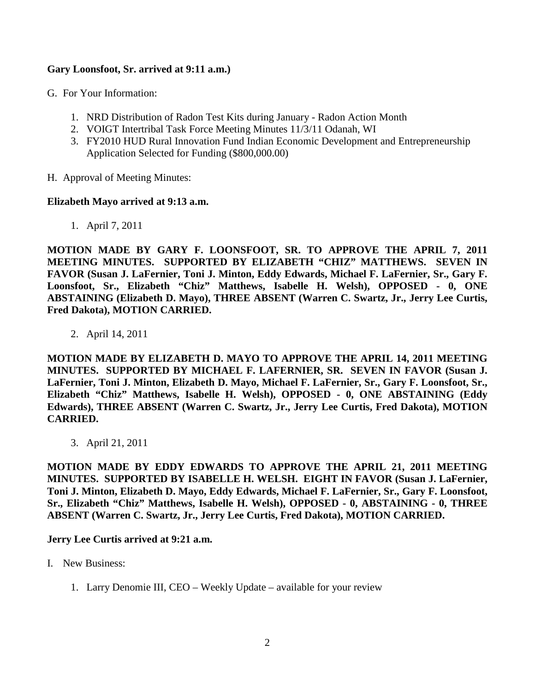# **Gary Loonsfoot, Sr. arrived at 9:11 a.m.)**

- G. For Your Information:
	- 1. NRD Distribution of Radon Test Kits during January Radon Action Month
	- 2. VOIGT Intertribal Task Force Meeting Minutes 11/3/11 Odanah, WI
	- 3. FY2010 HUD Rural Innovation Fund Indian Economic Development and Entrepreneurship Application Selected for Funding (\$800,000.00)
- H. Approval of Meeting Minutes:

## **Elizabeth Mayo arrived at 9:13 a.m.**

1. April 7, 2011

**MOTION MADE BY GARY F. LOONSFOOT, SR. TO APPROVE THE APRIL 7, 2011 MEETING MINUTES. SUPPORTED BY ELIZABETH "CHIZ" MATTHEWS. SEVEN IN FAVOR (Susan J. LaFernier, Toni J. Minton, Eddy Edwards, Michael F. LaFernier, Sr., Gary F. Loonsfoot, Sr., Elizabeth "Chiz" Matthews, Isabelle H. Welsh), OPPOSED - 0, ONE ABSTAINING (Elizabeth D. Mayo), THREE ABSENT (Warren C. Swartz, Jr., Jerry Lee Curtis, Fred Dakota), MOTION CARRIED.**

2. April 14, 2011

**MOTION MADE BY ELIZABETH D. MAYO TO APPROVE THE APRIL 14, 2011 MEETING MINUTES. SUPPORTED BY MICHAEL F. LAFERNIER, SR. SEVEN IN FAVOR (Susan J. LaFernier, Toni J. Minton, Elizabeth D. Mayo, Michael F. LaFernier, Sr., Gary F. Loonsfoot, Sr., Elizabeth "Chiz" Matthews, Isabelle H. Welsh), OPPOSED - 0, ONE ABSTAINING (Eddy Edwards), THREE ABSENT (Warren C. Swartz, Jr., Jerry Lee Curtis, Fred Dakota), MOTION CARRIED.**

3. April 21, 2011

**MOTION MADE BY EDDY EDWARDS TO APPROVE THE APRIL 21, 2011 MEETING MINUTES. SUPPORTED BY ISABELLE H. WELSH. EIGHT IN FAVOR (Susan J. LaFernier, Toni J. Minton, Elizabeth D. Mayo, Eddy Edwards, Michael F. LaFernier, Sr., Gary F. Loonsfoot, Sr., Elizabeth "Chiz" Matthews, Isabelle H. Welsh), OPPOSED - 0, ABSTAINING - 0, THREE ABSENT (Warren C. Swartz, Jr., Jerry Lee Curtis, Fred Dakota), MOTION CARRIED.**

## **Jerry Lee Curtis arrived at 9:21 a.m.**

- I. New Business:
	- 1. Larry Denomie III, CEO Weekly Update available for your review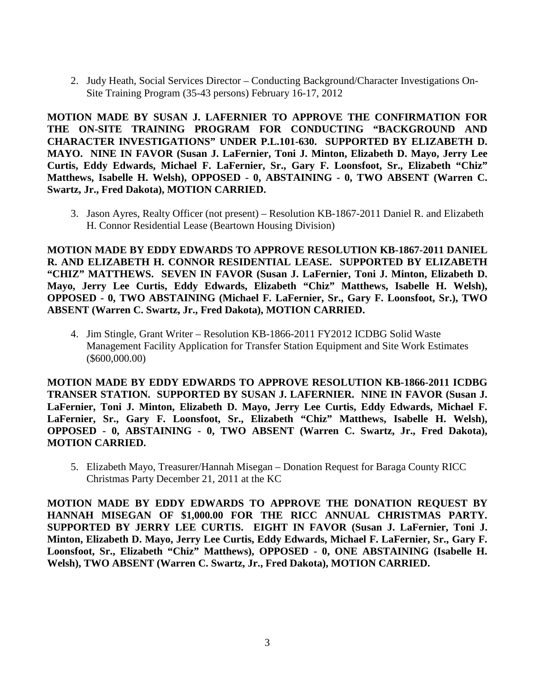2. Judy Heath, Social Services Director – Conducting Background/Character Investigations On-Site Training Program (35-43 persons) February 16-17, 2012

**MOTION MADE BY SUSAN J. LAFERNIER TO APPROVE THE CONFIRMATION FOR THE ON-SITE TRAINING PROGRAM FOR CONDUCTING "BACKGROUND AND CHARACTER INVESTIGATIONS" UNDER P.L.101-630. SUPPORTED BY ELIZABETH D. MAYO. NINE IN FAVOR (Susan J. LaFernier, Toni J. Minton, Elizabeth D. Mayo, Jerry Lee Curtis, Eddy Edwards, Michael F. LaFernier, Sr., Gary F. Loonsfoot, Sr., Elizabeth "Chiz" Matthews, Isabelle H. Welsh), OPPOSED - 0, ABSTAINING - 0, TWO ABSENT (Warren C. Swartz, Jr., Fred Dakota), MOTION CARRIED.**

3. Jason Ayres, Realty Officer (not present) – Resolution KB-1867-2011 Daniel R. and Elizabeth H. Connor Residential Lease (Beartown Housing Division)

**MOTION MADE BY EDDY EDWARDS TO APPROVE RESOLUTION KB-1867-2011 DANIEL R. AND ELIZABETH H. CONNOR RESIDENTIAL LEASE. SUPPORTED BY ELIZABETH "CHIZ" MATTHEWS. SEVEN IN FAVOR (Susan J. LaFernier, Toni J. Minton, Elizabeth D. Mayo, Jerry Lee Curtis, Eddy Edwards, Elizabeth "Chiz" Matthews, Isabelle H. Welsh), OPPOSED - 0, TWO ABSTAINING (Michael F. LaFernier, Sr., Gary F. Loonsfoot, Sr.), TWO ABSENT (Warren C. Swartz, Jr., Fred Dakota), MOTION CARRIED.**

4. Jim Stingle, Grant Writer – Resolution KB-1866-2011 FY2012 ICDBG Solid Waste Management Facility Application for Transfer Station Equipment and Site Work Estimates (\$600,000.00)

**MOTION MADE BY EDDY EDWARDS TO APPROVE RESOLUTION KB-1866-2011 ICDBG TRANSER STATION. SUPPORTED BY SUSAN J. LAFERNIER. NINE IN FAVOR (Susan J. LaFernier, Toni J. Minton, Elizabeth D. Mayo, Jerry Lee Curtis, Eddy Edwards, Michael F. LaFernier, Sr., Gary F. Loonsfoot, Sr., Elizabeth "Chiz" Matthews, Isabelle H. Welsh), OPPOSED - 0, ABSTAINING - 0, TWO ABSENT (Warren C. Swartz, Jr., Fred Dakota), MOTION CARRIED.**

5. Elizabeth Mayo, Treasurer/Hannah Misegan – Donation Request for Baraga County RICC Christmas Party December 21, 2011 at the KC

**MOTION MADE BY EDDY EDWARDS TO APPROVE THE DONATION REQUEST BY HANNAH MISEGAN OF \$1,000.00 FOR THE RICC ANNUAL CHRISTMAS PARTY. SUPPORTED BY JERRY LEE CURTIS. EIGHT IN FAVOR (Susan J. LaFernier, Toni J. Minton, Elizabeth D. Mayo, Jerry Lee Curtis, Eddy Edwards, Michael F. LaFernier, Sr., Gary F. Loonsfoot, Sr., Elizabeth "Chiz" Matthews), OPPOSED - 0, ONE ABSTAINING (Isabelle H. Welsh), TWO ABSENT (Warren C. Swartz, Jr., Fred Dakota), MOTION CARRIED.**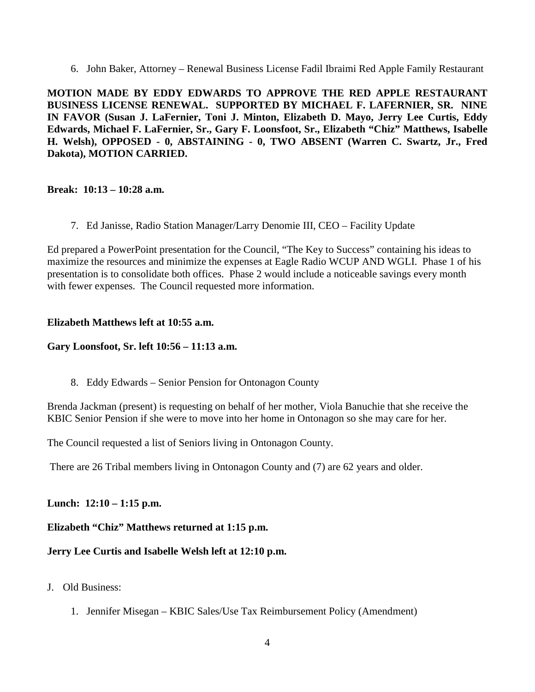6. John Baker, Attorney – Renewal Business License Fadil Ibraimi Red Apple Family Restaurant

**MOTION MADE BY EDDY EDWARDS TO APPROVE THE RED APPLE RESTAURANT BUSINESS LICENSE RENEWAL. SUPPORTED BY MICHAEL F. LAFERNIER, SR. NINE IN FAVOR (Susan J. LaFernier, Toni J. Minton, Elizabeth D. Mayo, Jerry Lee Curtis, Eddy Edwards, Michael F. LaFernier, Sr., Gary F. Loonsfoot, Sr., Elizabeth "Chiz" Matthews, Isabelle H. Welsh), OPPOSED - 0, ABSTAINING - 0, TWO ABSENT (Warren C. Swartz, Jr., Fred Dakota), MOTION CARRIED.**

## **Break: 10:13 – 10:28 a.m.**

7. Ed Janisse, Radio Station Manager/Larry Denomie III, CEO – Facility Update

Ed prepared a PowerPoint presentation for the Council, "The Key to Success" containing his ideas to maximize the resources and minimize the expenses at Eagle Radio WCUP AND WGLI. Phase 1 of his presentation is to consolidate both offices. Phase 2 would include a noticeable savings every month with fewer expenses. The Council requested more information.

#### **Elizabeth Matthews left at 10:55 a.m.**

#### **Gary Loonsfoot, Sr. left 10:56 – 11:13 a.m.**

8. Eddy Edwards – Senior Pension for Ontonagon County

Brenda Jackman (present) is requesting on behalf of her mother, Viola Banuchie that she receive the KBIC Senior Pension if she were to move into her home in Ontonagon so she may care for her.

The Council requested a list of Seniors living in Ontonagon County.

There are 26 Tribal members living in Ontonagon County and (7) are 62 years and older.

## **Lunch: 12:10 – 1:15 p.m.**

# **Elizabeth "Chiz" Matthews returned at 1:15 p.m.**

# **Jerry Lee Curtis and Isabelle Welsh left at 12:10 p.m.**

# J. Old Business:

1. Jennifer Misegan – KBIC Sales/Use Tax Reimbursement Policy (Amendment)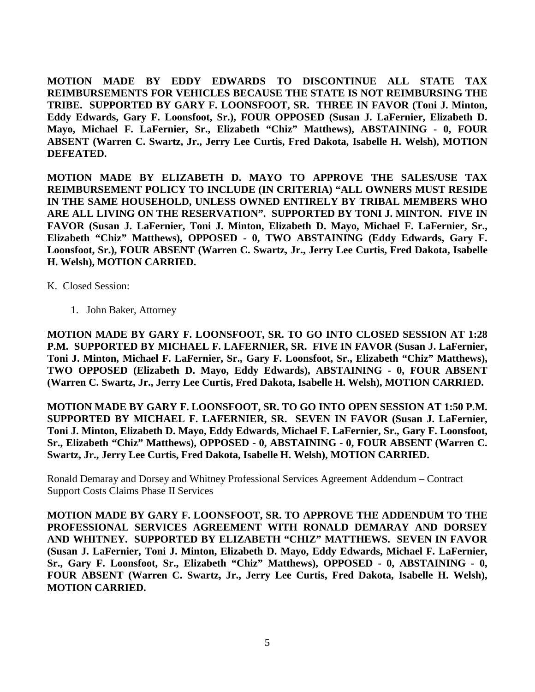**MOTION MADE BY EDDY EDWARDS TO DISCONTINUE ALL STATE TAX REIMBURSEMENTS FOR VEHICLES BECAUSE THE STATE IS NOT REIMBURSING THE TRIBE. SUPPORTED BY GARY F. LOONSFOOT, SR. THREE IN FAVOR (Toni J. Minton, Eddy Edwards, Gary F. Loonsfoot, Sr.), FOUR OPPOSED (Susan J. LaFernier, Elizabeth D. Mayo, Michael F. LaFernier, Sr., Elizabeth "Chiz" Matthews), ABSTAINING - 0, FOUR ABSENT (Warren C. Swartz, Jr., Jerry Lee Curtis, Fred Dakota, Isabelle H. Welsh), MOTION DEFEATED.**

**MOTION MADE BY ELIZABETH D. MAYO TO APPROVE THE SALES/USE TAX REIMBURSEMENT POLICY TO INCLUDE (IN CRITERIA) "ALL OWNERS MUST RESIDE IN THE SAME HOUSEHOLD, UNLESS OWNED ENTIRELY BY TRIBAL MEMBERS WHO ARE ALL LIVING ON THE RESERVATION". SUPPORTED BY TONI J. MINTON. FIVE IN FAVOR (Susan J. LaFernier, Toni J. Minton, Elizabeth D. Mayo, Michael F. LaFernier, Sr., Elizabeth "Chiz" Matthews), OPPOSED - 0, TWO ABSTAINING (Eddy Edwards, Gary F. Loonsfoot, Sr.), FOUR ABSENT (Warren C. Swartz, Jr., Jerry Lee Curtis, Fred Dakota, Isabelle H. Welsh), MOTION CARRIED.**

K. Closed Session:

1. John Baker, Attorney

**MOTION MADE BY GARY F. LOONSFOOT, SR. TO GO INTO CLOSED SESSION AT 1:28 P.M. SUPPORTED BY MICHAEL F. LAFERNIER, SR. FIVE IN FAVOR (Susan J. LaFernier, Toni J. Minton, Michael F. LaFernier, Sr., Gary F. Loonsfoot, Sr., Elizabeth "Chiz" Matthews), TWO OPPOSED (Elizabeth D. Mayo, Eddy Edwards), ABSTAINING - 0, FOUR ABSENT (Warren C. Swartz, Jr., Jerry Lee Curtis, Fred Dakota, Isabelle H. Welsh), MOTION CARRIED.**

**MOTION MADE BY GARY F. LOONSFOOT, SR. TO GO INTO OPEN SESSION AT 1:50 P.M. SUPPORTED BY MICHAEL F. LAFERNIER, SR. SEVEN IN FAVOR (Susan J. LaFernier, Toni J. Minton, Elizabeth D. Mayo, Eddy Edwards, Michael F. LaFernier, Sr., Gary F. Loonsfoot, Sr., Elizabeth "Chiz" Matthews), OPPOSED - 0, ABSTAINING - 0, FOUR ABSENT (Warren C. Swartz, Jr., Jerry Lee Curtis, Fred Dakota, Isabelle H. Welsh), MOTION CARRIED.**

Ronald Demaray and Dorsey and Whitney Professional Services Agreement Addendum – Contract Support Costs Claims Phase II Services

**MOTION MADE BY GARY F. LOONSFOOT, SR. TO APPROVE THE ADDENDUM TO THE PROFESSIONAL SERVICES AGREEMENT WITH RONALD DEMARAY AND DORSEY AND WHITNEY. SUPPORTED BY ELIZABETH "CHIZ" MATTHEWS. SEVEN IN FAVOR (Susan J. LaFernier, Toni J. Minton, Elizabeth D. Mayo, Eddy Edwards, Michael F. LaFernier, Sr., Gary F. Loonsfoot, Sr., Elizabeth "Chiz" Matthews), OPPOSED - 0, ABSTAINING - 0, FOUR ABSENT (Warren C. Swartz, Jr., Jerry Lee Curtis, Fred Dakota, Isabelle H. Welsh), MOTION CARRIED.**